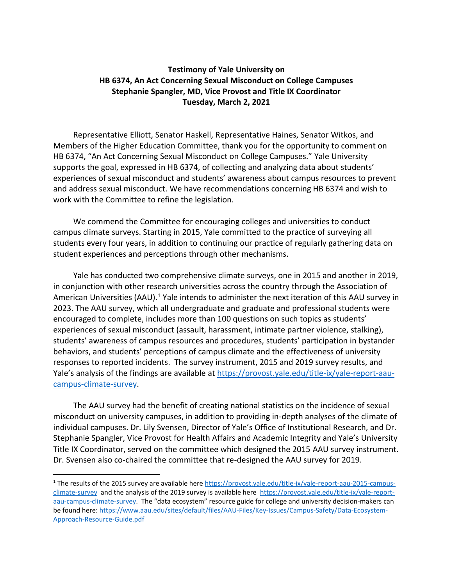## **Testimony of Yale University on HB 6374, An Act Concerning Sexual Misconduct on College Campuses Stephanie Spangler, MD, Vice Provost and Title IX Coordinator Tuesday, March 2, 2021**

Representative Elliott, Senator Haskell, Representative Haines, Senator Witkos, and Members of the Higher Education Committee, thank you for the opportunity to comment on HB 6374, "An Act Concerning Sexual Misconduct on College Campuses." Yale University supports the goal, expressed in HB 6374, of collecting and analyzing data about students' experiences of sexual misconduct and students' awareness about campus resources to prevent and address sexual misconduct. We have recommendations concerning HB 6374 and wish to work with the Committee to refine the legislation.

We commend the Committee for encouraging colleges and universities to conduct campus climate surveys. Starting in 2015, Yale committed to the practice of surveying all students every four years, in addition to continuing our practice of regularly gathering data on student experiences and perceptions through other mechanisms.

Yale has conducted two comprehensive climate surveys, one in 2015 and another in 2019, in conjunction with other research universities across the country through the Association of American Universities (AAU).<sup>1</sup> Yale intends to administer the next iteration of this AAU survey in 2023. The AAU survey, which all undergraduate and graduate and professional students were encouraged to complete, includes more than 100 questions on such topics as students' experiences of sexual misconduct (assault, harassment, intimate partner violence, stalking), students' awareness of campus resources and procedures, students' participation in bystander behaviors, and students' perceptions of campus climate and the effectiveness of university responses to reported incidents. The survey instrument, 2015 and 2019 survey results, and Yale's analysis of the findings are available at [https://provost.yale.edu/title-ix/yale-report-aau](https://provost.yale.edu/title-ix/yale-report-aau-campus-climate-survey)[campus-climate-survey.](https://provost.yale.edu/title-ix/yale-report-aau-campus-climate-survey)

The AAU survey had the benefit of creating national statistics on the incidence of sexual misconduct on university campuses, in addition to providing in-depth analyses of the climate of individual campuses. Dr. Lily Svensen, Director of Yale's Office of Institutional Research, and Dr. Stephanie Spangler, Vice Provost for Health Affairs and Academic Integrity and Yale's University Title IX Coordinator, served on the committee which designed the 2015 AAU survey instrument. Dr. Svensen also co-chaired the committee that re-designed the AAU survey for 2019.

<sup>&</sup>lt;sup>1</sup> The results of the 2015 survey are available here [https://provost.yale.edu/title-ix/yale-report-aau-2015-campus](https://provost.yale.edu/title-ix/yale-report-aau-2015-campus-climate-survey)[climate-survey](https://provost.yale.edu/title-ix/yale-report-aau-2015-campus-climate-survey) and the analysis of the 2019 survey is available here [https://provost.yale.edu/title-ix/yale-report](https://provost.yale.edu/title-ix/yale-report-aau-campus-climate-survey)[aau-campus-climate-survey.](https://provost.yale.edu/title-ix/yale-report-aau-campus-climate-survey) The "data ecosystem" resource guide for college and university decision-makers can be found here[: https://www.aau.edu/sites/default/files/AAU-Files/Key-Issues/Campus-Safety/Data-Ecosystem-](https://www.aau.edu/sites/default/files/AAU-Files/Key-Issues/Campus-Safety/Data-Ecosystem-Approach-Resource-Guide.pdf)[Approach-Resource-Guide.pdf](https://www.aau.edu/sites/default/files/AAU-Files/Key-Issues/Campus-Safety/Data-Ecosystem-Approach-Resource-Guide.pdf)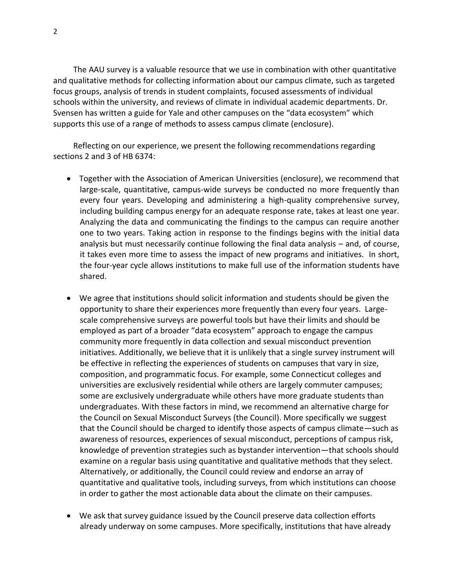The AAU survey is a valuable resource that we use in combination with other quantitative and qualitative methods for collecting information about our campus climate, such as targeted focus groups, analysis of trends in student complaints, focused assessments of individual schools within the university, and reviews of climate in individual academic departments. Dr. Svensen has written a guide for Yale and other campuses on the "data ecosystem" which supports this use of a range of methods to assess campus climate (enclosure).

Reflecting on our experience, we present the following recommendations regarding sections 2 and 3 of HB 6374:

- Together with the Association of American Universities (enclosure), we recommend that large-scale, quantitative, campus-wide surveys be conducted no more frequently than every four years. Developing and administering a high-quality comprehensive survey, including building campus energy for an adequate response rate, takes at least one year. Analyzing the data and communicating the findings to the campus can require another one to two years. Taking action in response to the findings begins with the initial data analysis but must necessarily continue following the final data analysis – and, of course, it takes even more time to assess the impact of new programs and initiatives. In short, the four-year cycle allows institutions to make full use of the information students have shared.
- We agree that institutions should solicit information and students should be given the opportunity to share their experiences more frequently than every four years. Largescale comprehensive surveys are powerful tools but have their limits and should be employed as part of a broader "data ecosystem" approach to engage the campus community more frequently in data collection and sexual misconduct prevention initiatives. Additionally, we believe that it is unlikely that a single survey instrument will be effective in reflecting the experiences of students on campuses that vary in size, composition, and programmatic focus. For example, some Connecticut colleges and universities are exclusively residential while others are largely commuter campuses; some are exclusively undergraduate while others have more graduate students than undergraduates. With these factors in mind, we recommend an alternative charge for the Council on Sexual Misconduct Surveys (the Council). More specifically we suggest that the Council should be charged to identify those aspects of campus climate—such as awareness of resources, experiences of sexual misconduct, perceptions of campus risk, knowledge of prevention strategies such as bystander intervention—that schools should examine on a regular basis using quantitative and qualitative methods that they select. Alternatively, or additionally, the Council could review and endorse an array of quantitative and qualitative tools, including surveys, from which institutions can choose in order to gather the most actionable data about the climate on their campuses.
- We ask that survey guidance issued by the Council preserve data collection efforts already underway on some campuses. More specifically, institutions that have already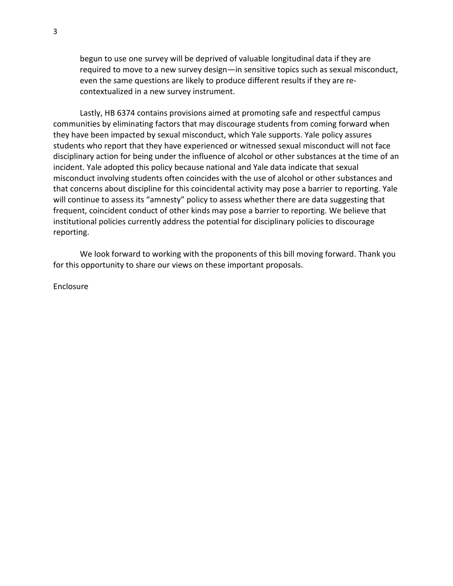begun to use one survey will be deprived of valuable longitudinal data if they are required to move to a new survey design—in sensitive topics such as sexual misconduct, even the same questions are likely to produce different results if they are recontextualized in a new survey instrument.

Lastly, HB 6374 contains provisions aimed at promoting safe and respectful campus communities by eliminating factors that may discourage students from coming forward when they have been impacted by sexual misconduct, which Yale supports. Yale policy assures students who report that they have experienced or witnessed sexual misconduct will not face disciplinary action for being under the influence of alcohol or other substances at the time of an incident. Yale adopted this policy because national and Yale data indicate that sexual misconduct involving students often coincides with the use of alcohol or other substances and that concerns about discipline for this coincidental activity may pose a barrier to reporting. Yale will continue to assess its "amnesty" policy to assess whether there are data suggesting that frequent, coincident conduct of other kinds may pose a barrier to reporting. We believe that institutional policies currently address the potential for disciplinary policies to discourage reporting.

We look forward to working with the proponents of this bill moving forward. Thank you for this opportunity to share our views on these important proposals.

Enclosure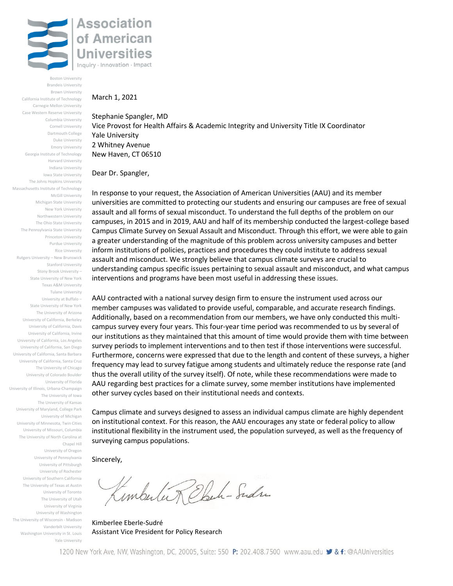

Boston University Brandeis University Brown University California Institute of Technology Carnegie Mellon University Case Western Reserve University Columbia University Cornell University Dartmouth College Duke University Emory University Georgia Institute of Technology Harvard University Indiana University Iowa State University The Johns Hopkins University Massachusetts Institute of Technology McGill University Michigan State University New York University Northwestern University The Ohio State University The Pennsylvania State University Princeton University Purdue University Rice University Rutgers University – New Brunswick Stanford University Stony Brook University – State University of New York Texas A&M University Tulane University University at Buffalo – State University of New York The University of Arizona University of California, Berkeley University of California, Davis University of California, Irvine University of California, Los Angeles University of California, San Diego University of California, Santa Barbara University of California, Santa Cruz The University of Chicago University of Colorado Boulder University of Florida University of Illinois, Urbana-Champaign The University of Iowa The University of Kansas University of Maryland, College Park University of Michigan University of Minnesota, Twin Cities University of Missouri, Columbia The University of North Carolina at Chapel Hill University of Oregon University of Pennsylvania

University of Pittsburgh University of Rochester University of Southern California The University of Texas at Austin University of Toronto The University of Utah University of Virginia University of Washington The University of Wisconsin - Madison Vanderbilt University Washington University in St. Louis Yale University

#### March 1, 2021

Stephanie Spangler, MD Vice Provost for Health Affairs & Academic Integrity and University Title IX Coordinator Yale University 2 Whitney Avenue New Haven, CT 06510

Dear Dr. Spangler,

In response to your request, the Association of American Universities (AAU) and its member universities are committed to protecting our students and ensuring our campuses are free of sexual assault and all forms of sexual misconduct. To understand the full depths of the problem on our campuses, in 2015 and in 2019, AAU and half of its membership conducted the largest-college based Campus Climate Survey on Sexual Assault and Misconduct. Through this effort, we were able to gain a greater understanding of the magnitude of this problem across university campuses and better inform institutions of policies, practices and procedures they could institute to address sexual assault and misconduct. We strongly believe that campus climate surveys are crucial to understanding campus specific issues pertaining to sexual assault and misconduct, and what campus interventions and programs have been most useful in addressing these issues.

AAU contracted with a national survey design firm to ensure the instrument used across our member campuses was validated to provide useful, comparable, and accurate research findings. Additionally, based on a recommendation from our members, we have only conducted this multicampus survey every four years. This four-year time period was recommended to us by several of our institutions as they maintained that this amount of time would provide them with time between survey periods to implement interventions and to then test if those interventions were successful. Furthermore, concerns were expressed that due to the length and content of these surveys, a higher frequency may lead to survey fatigue among students and ultimately reduce the response rate (and thus the overall utility of the survey itself). Of note, while these recommendations were made to AAU regarding best practices for a climate survey, some member institutions have implemented other survey cycles based on their institutional needs and contexts.

Campus climate and surveys designed to assess an individual campus climate are highly dependent on institutional context. For this reason, the AAU encourages any state or federal policy to allow institutional flexibility in the instrument used, the population surveyed, as well as the frequency of surveying campus populations.

Sincerely,

Imbulu Rebeh - Sudre

Kimberlee Eberle-Sudré Assistant Vice President for Policy Research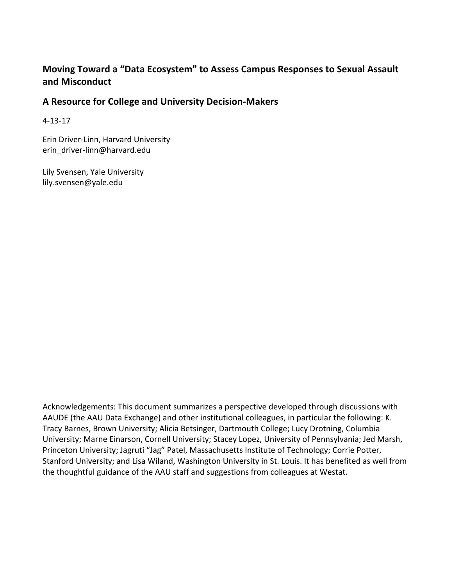# Moving Toward a "Data Ecosystem" to Assess Campus Responses to Sexual Assault **and Misconduct**

## **A Resource for College and University Decision-Makers**

4-13-17

Erin Driver-Linn, Harvard University erin\_driver-linn@harvard.edu

Lily Svensen, Yale University lily.svensen@yale.edu

Acknowledgements: This document summarizes a perspective developed through discussions with AAUDE (the AAU Data Exchange) and other institutional colleagues, in particular the following: K. Tracy Barnes, Brown University; Alicia Betsinger, Dartmouth College; Lucy Drotning, Columbia University; Marne Einarson, Cornell University; Stacey Lopez, University of Pennsylvania; Jed Marsh, Princeton University; Jagruti "Jag" Patel, Massachusetts Institute of Technology; Corrie Potter, Stanford University; and Lisa Wiland, Washington University in St. Louis. It has benefited as well from the thoughtful guidance of the AAU staff and suggestions from colleagues at Westat.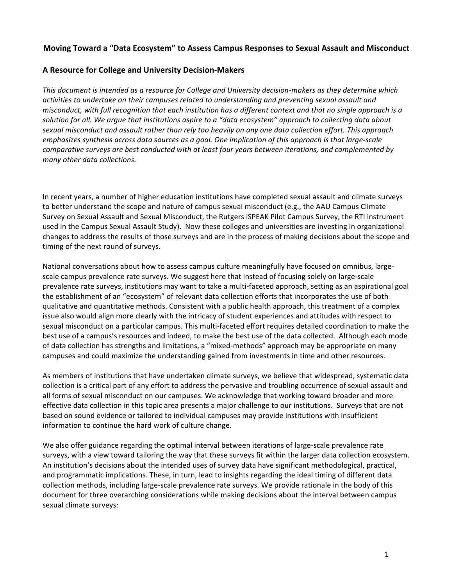## Moving Toward a "Data Ecosystem" to Assess Campus Responses to Sexual Assault and Misconduct

## **A Resource for College and University Decision-Makers**

This document is intended as a resource for College and University decision-makers as they determine which activities to undertake on their campuses related to understanding and preventing sexual assault and *misconduct, with full recognition that each institution has a different context and that no single approach is a* solution for all. We argue that institutions aspire to a "data ecosystem" approach to collecting data about sexual misconduct and assault rather than rely too heavily on any one data collection effort. This approach *emphasizes synthesis across data sources as a goal. One implication of this approach is that large-scale comparative surveys are best conducted with at least four years between iterations, and complemented by many other data collections.* 

In recent years, a number of higher education institutions have completed sexual assault and climate surveys to better understand the scope and nature of campus sexual misconduct (e.g., the AAU Campus Climate Survey on Sexual Assault and Sexual Misconduct, the Rutgers iSPEAK Pilot Campus Survey, the RTI instrument used in the Campus Sexual Assault Study). Now these colleges and universities are investing in organizational changes to address the results of those surveys and are in the process of making decisions about the scope and timing of the next round of surveys.

National conversations about how to assess campus culture meaningfully have focused on omnibus, largescale campus prevalence rate surveys. We suggest here that instead of focusing solely on large-scale prevalence rate surveys, institutions may want to take a multi-faceted approach, setting as an aspirational goal the establishment of an "ecosystem" of relevant data collection efforts that incorporates the use of both qualitative and quantitative methods. Consistent with a public health approach, this treatment of a complex issue also would align more clearly with the intricacy of student experiences and attitudes with respect to sexual misconduct on a particular campus. This multi-faceted effort requires detailed coordination to make the best use of a campus's resources and indeed, to make the best use of the data collected. Although each mode of data collection has strengths and limitations, a "mixed-methods" approach may be appropriate on many campuses and could maximize the understanding gained from investments in time and other resources.

As members of institutions that have undertaken climate surveys, we believe that widespread, systematic data collection is a critical part of any effort to address the pervasive and troubling occurrence of sexual assault and all forms of sexual misconduct on our campuses. We acknowledge that working toward broader and more effective data collection in this topic area presents a major challenge to our institutions. Surveys that are not based on sound evidence or tailored to individual campuses may provide institutions with insufficient information to continue the hard work of culture change.

We also offer guidance regarding the optimal interval between iterations of large-scale prevalence rate surveys, with a view toward tailoring the way that these surveys fit within the larger data collection ecosystem. An institution's decisions about the intended uses of survey data have significant methodological, practical, and programmatic implications. These, in turn, lead to insights regarding the ideal timing of different data collection methods, including large-scale prevalence rate surveys. We provide rationale in the body of this document for three overarching considerations while making decisions about the interval between campus sexual climate surveys: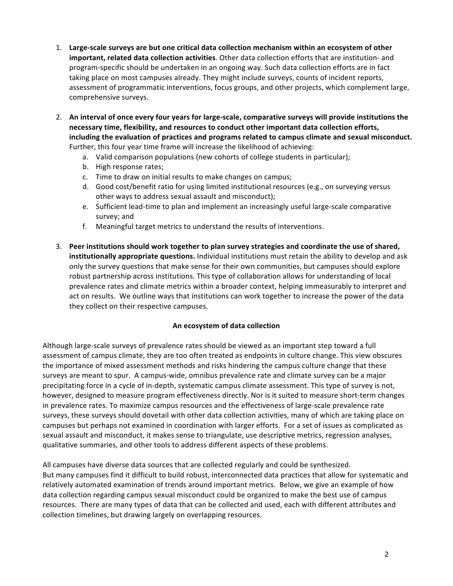- 1. Large-scale surveys are but one critical data collection mechanism within an ecosystem of other **important, related data collection activities**. Other data collection efforts that are institution- and program-specific should be undertaken in an ongoing way. Such data collection efforts are in fact taking place on most campuses already. They might include surveys, counts of incident reports, assessment of programmatic interventions, focus groups, and other projects, which complement large, comprehensive surveys.
- 2. An interval of once every four years for large-scale, comparative surveys will provide institutions the necessary time, flexibility, and resources to conduct other important data collection efforts, including the evaluation of practices and programs related to campus climate and sexual misconduct. Further, this four year time frame will increase the likelihood of achieving:
	- a. Valid comparison populations (new cohorts of college students in particular);
	- b. High response rates;
	- c. Time to draw on initial results to make changes on campus;
	- d. Good cost/benefit ratio for using limited institutional resources (e.g., on surveying versus other ways to address sexual assault and misconduct);
	- e. Sufficient lead-time to plan and implement an increasingly useful large-scale comparative survey; and
	- f. Meaningful target metrics to understand the results of interventions.
- 3. Peer institutions should work together to plan survey strategies and coordinate the use of shared, **institutionally appropriate questions.** Individual institutions must retain the ability to develop and ask only the survey questions that make sense for their own communities, but campuses should explore robust partnership across institutions. This type of collaboration allows for understanding of local prevalence rates and climate metrics within a broader context, helping immeasurably to interpret and act on results. We outline ways that institutions can work together to increase the power of the data they collect on their respective campuses.

## **An ecosystem of data collection**

Although large-scale surveys of prevalence rates should be viewed as an important step toward a full assessment of campus climate, they are too often treated as endpoints in culture change. This view obscures the importance of mixed assessment methods and risks hindering the campus culture change that these surveys are meant to spur. A campus-wide, omnibus prevalence rate and climate survey can be a major precipitating force in a cycle of in-depth, systematic campus climate assessment. This type of survey is not, however, designed to measure program effectiveness directly. Nor is it suited to measure short-term changes in prevalence rates. To maximize campus resources and the effectiveness of large-scale prevalence rate surveys, these surveys should dovetail with other data collection activities, many of which are taking place on campuses but perhaps not examined in coordination with larger efforts. For a set of issues as complicated as sexual assault and misconduct, it makes sense to triangulate, use descriptive metrics, regression analyses, qualitative summaries, and other tools to address different aspects of these problems.

All campuses have diverse data sources that are collected regularly and could be synthesized. But many campuses find it difficult to build robust, interconnected data practices that allow for systematic and relatively automated examination of trends around important metrics. Below, we give an example of how data collection regarding campus sexual misconduct could be organized to make the best use of campus resources. There are many types of data that can be collected and used, each with different attributes and collection timelines, but drawing largely on overlapping resources.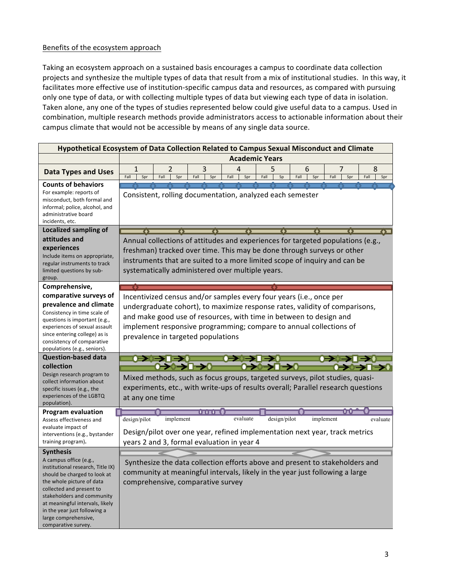## Benefits of the ecosystem approach

Taking an ecosystem approach on a sustained basis encourages a campus to coordinate data collection projects and synthesize the multiple types of data that result from a mix of institutional studies. In this way, it facilitates more effective use of institution-specific campus data and resources, as compared with pursuing only one type of data, or with collecting multiple types of data but viewing each type of data in isolation. Taken alone, any one of the types of studies represented below could give useful data to a campus. Used in combination, multiple research methods provide administrators access to actionable information about their campus climate that would not be accessible by means of any single data source.

|                                                                                                                                                                                                                                                                                                      | Hypothetical Ecosystem of Data Collection Related to Campus Sexual Misconduct and Climate                                                                                                                                                                     |                                           |                  |      |          |           |    |                  |                                                                                                                                                              |                  |  |
|------------------------------------------------------------------------------------------------------------------------------------------------------------------------------------------------------------------------------------------------------------------------------------------------------|---------------------------------------------------------------------------------------------------------------------------------------------------------------------------------------------------------------------------------------------------------------|-------------------------------------------|------------------|------|----------|-----------|----|------------------|--------------------------------------------------------------------------------------------------------------------------------------------------------------|------------------|--|
|                                                                                                                                                                                                                                                                                                      | <b>Academic Years</b>                                                                                                                                                                                                                                         |                                           |                  |      |          |           |    |                  |                                                                                                                                                              |                  |  |
| <b>Data Types and Uses</b>                                                                                                                                                                                                                                                                           | 1<br>Fall<br>Spr                                                                                                                                                                                                                                              | 2<br>Fall<br>Spr                          | 3<br>Fall<br>Spr | Fall | 4<br>Spr | 5<br>Fall | Sp | 6<br>Fall<br>Spr | 7<br>Fall<br>Spr                                                                                                                                             | 8<br>Fall<br>Spr |  |
| <b>Counts of behaviors</b><br>For example: reports of<br>misconduct, both formal and<br>informal; police, alcohol, and<br>administrative board<br>incidents, etc.                                                                                                                                    | Consistent, rolling documentation, analyzed each semester                                                                                                                                                                                                     |                                           |                  |      |          |           |    |                  |                                                                                                                                                              |                  |  |
| Localized sampling of                                                                                                                                                                                                                                                                                |                                                                                                                                                                                                                                                               |                                           |                  |      |          |           |    |                  |                                                                                                                                                              |                  |  |
| attitudes and                                                                                                                                                                                                                                                                                        | Annual collections of attitudes and experiences for targeted populations (e.g.,                                                                                                                                                                               |                                           |                  |      |          |           |    |                  |                                                                                                                                                              |                  |  |
| experiences<br>Include items on appropriate,<br>regular instruments to track<br>limited questions by sub-<br>group.                                                                                                                                                                                  | freshman) tracked over time. This may be done through surveys or other<br>instruments that are suited to a more limited scope of inquiry and can be<br>systematically administered over multiple years.                                                       |                                           |                  |      |          |           |    |                  |                                                                                                                                                              |                  |  |
| Comprehensive,                                                                                                                                                                                                                                                                                       |                                                                                                                                                                                                                                                               |                                           |                  |      |          |           |    |                  |                                                                                                                                                              |                  |  |
| comparative surveys of                                                                                                                                                                                                                                                                               | Incentivized census and/or samples every four years (i.e., once per                                                                                                                                                                                           |                                           |                  |      |          |           |    |                  |                                                                                                                                                              |                  |  |
| prevalence and climate<br>Consistency in time scale of<br>questions is important (e.g.,<br>experiences of sexual assault<br>since entering college) as is<br>consistency of comparative<br>populations (e.g., seniors).                                                                              | undergraduate cohort), to maximize response rates, validity of comparisons,<br>and make good use of resources, with time in between to design and<br>implement responsive programming; compare to annual collections of<br>prevalence in targeted populations |                                           |                  |      |          |           |    |                  |                                                                                                                                                              |                  |  |
| <b>Question-based data</b>                                                                                                                                                                                                                                                                           |                                                                                                                                                                                                                                                               | $\rightarrow$ $\rightarrow$ $\rightarrow$ |                  |      |          |           |    |                  |                                                                                                                                                              |                  |  |
| collection<br>Design research program to<br>collect information about<br>specific issues (e.g., the<br>experiences of the LGBTQ<br>population).                                                                                                                                                      | <del>0→0→Ω→0</del><br>Mixed methods, such as focus groups, targeted surveys, pilot studies, quasi-<br>experiments, etc., with write-ups of results overall; Parallel research questions<br>at any one time                                                    |                                           |                  |      |          |           |    |                  |                                                                                                                                                              |                  |  |
| <b>Program evaluation</b>                                                                                                                                                                                                                                                                            |                                                                                                                                                                                                                                                               |                                           | ITTE S           |      |          |           |    |                  |                                                                                                                                                              |                  |  |
| Assess effectiveness and<br>evaluate impact of<br>interventions (e.g., bystander<br>training program).                                                                                                                                                                                               | evaluate<br>design/pilot<br>design/pilot<br>implement<br>implement<br>evaluate<br>Design/pilot over one year, refined implementation next year, track metrics<br>years 2 and 3, formal evaluation in year 4                                                   |                                           |                  |      |          |           |    |                  |                                                                                                                                                              |                  |  |
| <b>Synthesis</b>                                                                                                                                                                                                                                                                                     |                                                                                                                                                                                                                                                               |                                           |                  |      |          |           |    |                  |                                                                                                                                                              |                  |  |
| A campus office (e.g.,<br>institutional research, Title IX)<br>should be charged to look at<br>the whole picture of data<br>collected and present to<br>stakeholders and community<br>at meaningful intervals, likely<br>in the year just following a<br>large comprehensive,<br>comparative survey. |                                                                                                                                                                                                                                                               | comprehensive, comparative survey         |                  |      |          |           |    |                  | Synthesize the data collection efforts above and present to stakeholders and<br>community at meaningful intervals, likely in the year just following a large |                  |  |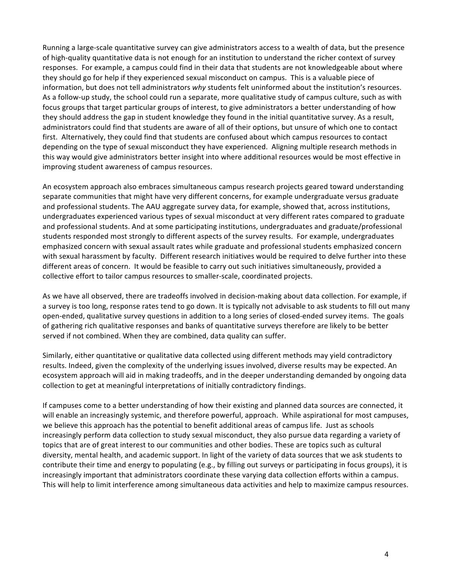Running a large-scale quantitative survey can give administrators access to a wealth of data, but the presence of high-quality quantitative data is not enough for an institution to understand the richer context of survey responses. For example, a campus could find in their data that students are not knowledgeable about where they should go for help if they experienced sexual misconduct on campus. This is a valuable piece of information, but does not tell administrators *why* students felt uninformed about the institution's resources. As a follow-up study, the school could run a separate, more qualitative study of campus culture, such as with focus groups that target particular groups of interest, to give administrators a better understanding of how they should address the gap in student knowledge they found in the initial quantitative survey. As a result, administrators could find that students are aware of all of their options, but unsure of which one to contact first. Alternatively, they could find that students are confused about which campus resources to contact depending on the type of sexual misconduct they have experienced. Aligning multiple research methods in this way would give administrators better insight into where additional resources would be most effective in improving student awareness of campus resources.

An ecosystem approach also embraces simultaneous campus research projects geared toward understanding separate communities that might have very different concerns, for example undergraduate versus graduate and professional students. The AAU aggregate survey data, for example, showed that, across institutions, undergraduates experienced various types of sexual misconduct at very different rates compared to graduate and professional students. And at some participating institutions, undergraduates and graduate/professional students responded most strongly to different aspects of the survey results. For example, undergraduates emphasized concern with sexual assault rates while graduate and professional students emphasized concern with sexual harassment by faculty. Different research initiatives would be required to delve further into these different areas of concern. It would be feasible to carry out such initiatives simultaneously, provided a collective effort to tailor campus resources to smaller-scale, coordinated projects.

As we have all observed, there are tradeoffs involved in decision-making about data collection. For example, if a survey is too long, response rates tend to go down. It is typically not advisable to ask students to fill out many open-ended, qualitative survey questions in addition to a long series of closed-ended survey items. The goals of gathering rich qualitative responses and banks of quantitative surveys therefore are likely to be better served if not combined. When they are combined, data quality can suffer.

Similarly, either quantitative or qualitative data collected using different methods may yield contradictory results. Indeed, given the complexity of the underlying issues involved, diverse results may be expected. An ecosystem approach will aid in making tradeoffs, and in the deeper understanding demanded by ongoing data collection to get at meaningful interpretations of initially contradictory findings.

If campuses come to a better understanding of how their existing and planned data sources are connected, it will enable an increasingly systemic, and therefore powerful, approach. While aspirational for most campuses, we believe this approach has the potential to benefit additional areas of campus life. Just as schools increasingly perform data collection to study sexual misconduct, they also pursue data regarding a variety of topics that are of great interest to our communities and other bodies. These are topics such as cultural diversity, mental health, and academic support. In light of the variety of data sources that we ask students to contribute their time and energy to populating (e.g., by filling out surveys or participating in focus groups), it is increasingly important that administrators coordinate these varying data collection efforts within a campus. This will help to limit interference among simultaneous data activities and help to maximize campus resources.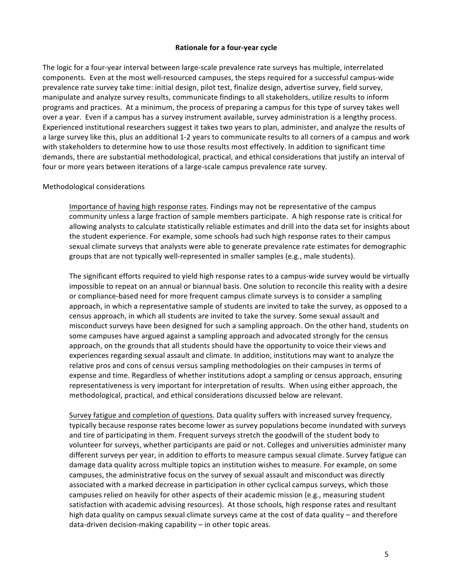### **Rationale for a four-year cycle**

The logic for a four-year interval between large-scale prevalence rate surveys has multiple, interrelated components. Even at the most well-resourced campuses, the steps required for a successful campus-wide prevalence rate survey take time: initial design, pilot test, finalize design, advertise survey, field survey, manipulate and analyze survey results, communicate findings to all stakeholders, utilize results to inform programs and practices. At a minimum, the process of preparing a campus for this type of survey takes well over a year. Even if a campus has a survey instrument available, survey administration is a lengthy process. Experienced institutional researchers suggest it takes two years to plan, administer, and analyze the results of a large survey like this, plus an additional 1-2 years to communicate results to all corners of a campus and work with stakeholders to determine how to use those results most effectively. In addition to significant time demands, there are substantial methodological, practical, and ethical considerations that justify an interval of four or more years between iterations of a large-scale campus prevalence rate survey.

#### Methodological considerations

Importance of having high response rates. Findings may not be representative of the campus community unless a large fraction of sample members participate. A high response rate is critical for allowing analysts to calculate statistically reliable estimates and drill into the data set for insights about the student experience. For example, some schools had such high response rates to their campus sexual climate surveys that analysts were able to generate prevalence rate estimates for demographic groups that are not typically well-represented in smaller samples (e.g., male students).

The significant efforts required to yield high response rates to a campus-wide survey would be virtually impossible to repeat on an annual or biannual basis. One solution to reconcile this reality with a desire or compliance-based need for more frequent campus climate surveys is to consider a sampling approach, in which a representative sample of students are invited to take the survey, as opposed to a census approach, in which all students are invited to take the survey. Some sexual assault and misconduct surveys have been designed for such a sampling approach. On the other hand, students on some campuses have argued against a sampling approach and advocated strongly for the census approach, on the grounds that all students should have the opportunity to voice their views and experiences regarding sexual assault and climate. In addition, institutions may want to analyze the relative pros and cons of census versus sampling methodologies on their campuses in terms of expense and time. Regardless of whether institutions adopt a sampling or census approach, ensuring representativeness is very important for interpretation of results. When using either approach, the methodological, practical, and ethical considerations discussed below are relevant.

Survey fatigue and completion of questions. Data quality suffers with increased survey frequency, typically because response rates become lower as survey populations become inundated with surveys and tire of participating in them. Frequent surveys stretch the goodwill of the student body to volunteer for surveys, whether participants are paid or not. Colleges and universities administer many different surveys per year, in addition to efforts to measure campus sexual climate. Survey fatigue can damage data quality across multiple topics an institution wishes to measure. For example, on some campuses, the administrative focus on the survey of sexual assault and misconduct was directly associated with a marked decrease in participation in other cyclical campus surveys, which those campuses relied on heavily for other aspects of their academic mission (e.g., measuring student satisfaction with academic advising resources). At those schools, high response rates and resultant high data quality on campus sexual climate surveys came at the cost of data quality - and therefore  $data$ -driven decision-making capability  $-$  in other topic areas.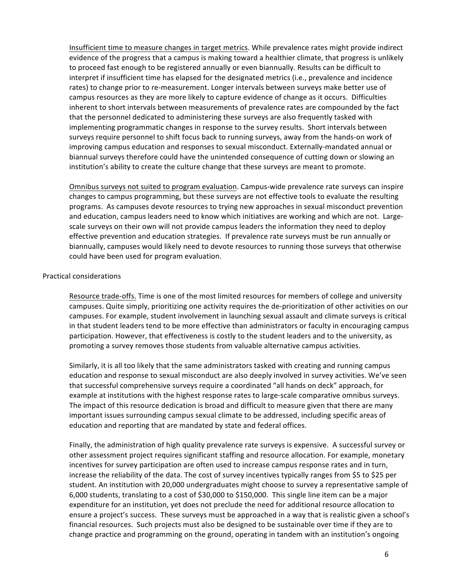Insufficient time to measure changes in target metrics. While prevalence rates might provide indirect evidence of the progress that a campus is making toward a healthier climate, that progress is unlikely to proceed fast enough to be registered annually or even biannually. Results can be difficult to interpret if insufficient time has elapsed for the designated metrics (i.e., prevalence and incidence rates) to change prior to re-measurement. Longer intervals between surveys make better use of campus resources as they are more likely to capture evidence of change as it occurs. Difficulties inherent to short intervals between measurements of prevalence rates are compounded by the fact that the personnel dedicated to administering these surveys are also frequently tasked with implementing programmatic changes in response to the survey results. Short intervals between surveys require personnel to shift focus back to running surveys, away from the hands-on work of improving campus education and responses to sexual misconduct. Externally-mandated annual or biannual surveys therefore could have the unintended consequence of cutting down or slowing an institution's ability to create the culture change that these surveys are meant to promote.

Omnibus surveys not suited to program evaluation. Campus-wide prevalence rate surveys can inspire changes to campus programming, but these surveys are not effective tools to evaluate the resulting programs. As campuses devote resources to trying new approaches in sexual misconduct prevention and education, campus leaders need to know which initiatives are working and which are not. Largescale surveys on their own will not provide campus leaders the information they need to deploy effective prevention and education strategies. If prevalence rate surveys must be run annually or biannually, campuses would likely need to devote resources to running those surveys that otherwise could have been used for program evaluation.

### Practical considerations

Resource trade-offs. Time is one of the most limited resources for members of college and university campuses. Quite simply, prioritizing one activity requires the de-prioritization of other activities on our campuses. For example, student involvement in launching sexual assault and climate surveys is critical in that student leaders tend to be more effective than administrators or faculty in encouraging campus participation. However, that effectiveness is costly to the student leaders and to the university, as promoting a survey removes those students from valuable alternative campus activities.

Similarly, it is all too likely that the same administrators tasked with creating and running campus education and response to sexual misconduct are also deeply involved in survey activities. We've seen that successful comprehensive surveys require a coordinated "all hands on deck" approach, for example at institutions with the highest response rates to large-scale comparative omnibus surveys. The impact of this resource dedication is broad and difficult to measure given that there are many important issues surrounding campus sexual climate to be addressed, including specific areas of education and reporting that are mandated by state and federal offices.

Finally, the administration of high quality prevalence rate surveys is expensive. A successful survey or other assessment project requires significant staffing and resource allocation. For example, monetary incentives for survey participation are often used to increase campus response rates and in turn, increase the reliability of the data. The cost of survey incentives typically ranges from \$5 to \$25 per student. An institution with 20,000 undergraduates might choose to survey a representative sample of 6,000 students, translating to a cost of \$30,000 to \$150,000. This single line item can be a major expenditure for an institution, yet does not preclude the need for additional resource allocation to ensure a project's success. These surveys must be approached in a way that is realistic given a school's financial resources. Such projects must also be designed to be sustainable over time if they are to change practice and programming on the ground, operating in tandem with an institution's ongoing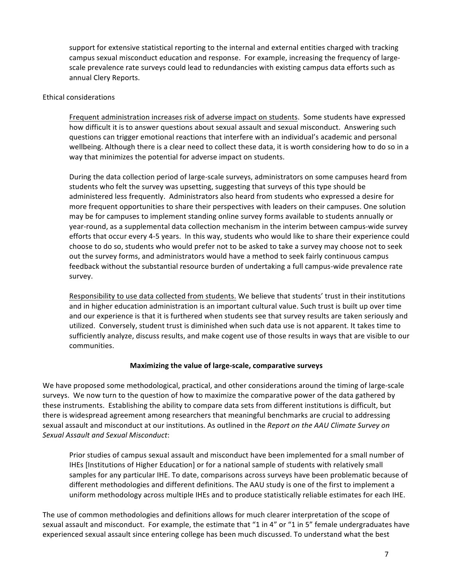support for extensive statistical reporting to the internal and external entities charged with tracking campus sexual misconduct education and response. For example, increasing the frequency of largescale prevalence rate surveys could lead to redundancies with existing campus data efforts such as annual Clery Reports.

## Ethical considerations

Frequent administration increases risk of adverse impact on students. Some students have expressed how difficult it is to answer questions about sexual assault and sexual misconduct. Answering such questions can trigger emotional reactions that interfere with an individual's academic and personal wellbeing. Although there is a clear need to collect these data, it is worth considering how to do so in a way that minimizes the potential for adverse impact on students.

During the data collection period of large-scale surveys, administrators on some campuses heard from students who felt the survey was upsetting, suggesting that surveys of this type should be administered less frequently. Administrators also heard from students who expressed a desire for more frequent opportunities to share their perspectives with leaders on their campuses. One solution may be for campuses to implement standing online survey forms available to students annually or year-round, as a supplemental data collection mechanism in the interim between campus-wide survey efforts that occur every 4-5 years. In this way, students who would like to share their experience could choose to do so, students who would prefer not to be asked to take a survey may choose not to seek out the survey forms, and administrators would have a method to seek fairly continuous campus feedback without the substantial resource burden of undertaking a full campus-wide prevalence rate survey.

Responsibility to use data collected from students. We believe that students' trust in their institutions and in higher education administration is an important cultural value. Such trust is built up over time and our experience is that it is furthered when students see that survey results are taken seriously and utilized. Conversely, student trust is diminished when such data use is not apparent. It takes time to sufficiently analyze, discuss results, and make cogent use of those results in ways that are visible to our communities. 

## **Maximizing the value of large-scale, comparative surveys**

We have proposed some methodological, practical, and other considerations around the timing of large-scale surveys. We now turn to the question of how to maximize the comparative power of the data gathered by these instruments. Establishing the ability to compare data sets from different institutions is difficult, but there is widespread agreement among researchers that meaningful benchmarks are crucial to addressing sexual assault and misconduct at our institutions. As outlined in the *Report on the AAU Climate Survey on Sexual Assault and Sexual Misconduct*: 

Prior studies of campus sexual assault and misconduct have been implemented for a small number of IHEs [Institutions of Higher Education] or for a national sample of students with relatively small samples for any particular IHE. To date, comparisons across surveys have been problematic because of different methodologies and different definitions. The AAU study is one of the first to implement a uniform methodology across multiple IHEs and to produce statistically reliable estimates for each IHE.

The use of common methodologies and definitions allows for much clearer interpretation of the scope of sexual assault and misconduct. For example, the estimate that "1 in 4" or "1 in 5" female undergraduates have experienced sexual assault since entering college has been much discussed. To understand what the best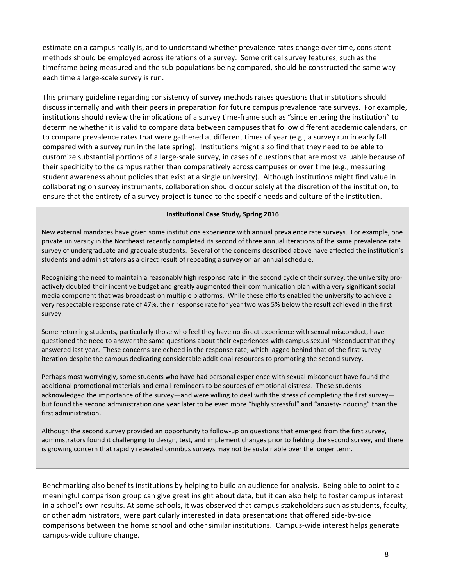estimate on a campus really is, and to understand whether prevalence rates change over time, consistent methods should be employed across iterations of a survey. Some critical survey features, such as the timeframe being measured and the sub-populations being compared, should be constructed the same way each time a large-scale survey is run.

This primary guideline regarding consistency of survey methods raises questions that institutions should discuss internally and with their peers in preparation for future campus prevalence rate surveys. For example, institutions should review the implications of a survey time-frame such as "since entering the institution" to determine whether it is valid to compare data between campuses that follow different academic calendars, or to compare prevalence rates that were gathered at different times of year (e.g., a survey run in early fall compared with a survey run in the late spring). Institutions might also find that they need to be able to customize substantial portions of a large-scale survey, in cases of questions that are most valuable because of their specificity to the campus rather than comparatively across campuses or over time (e.g., measuring student awareness about policies that exist at a single university). Although institutions might find value in collaborating on survey instruments, collaboration should occur solely at the discretion of the institution, to ensure that the entirety of a survey project is tuned to the specific needs and culture of the institution.

#### **Institutional Case Study, Spring 2016**

New external mandates have given some institutions experience with annual prevalence rate surveys. For example, one private university in the Northeast recently completed its second of three annual iterations of the same prevalence rate survey of undergraduate and graduate students. Several of the concerns described above have affected the institution's students and administrators as a direct result of repeating a survey on an annual schedule.

Recognizing the need to maintain a reasonably high response rate in the second cycle of their survey, the university proactively doubled their incentive budget and greatly augmented their communication plan with a very significant social media component that was broadcast on multiple platforms. While these efforts enabled the university to achieve a very respectable response rate of 47%, their response rate for year two was 5% below the result achieved in the first survey. 

Some returning students, particularly those who feel they have no direct experience with sexual misconduct, have questioned the need to answer the same questions about their experiences with campus sexual misconduct that they answered last year. These concerns are echoed in the response rate, which lagged behind that of the first survey iteration despite the campus dedicating considerable additional resources to promoting the second survey.

Perhaps most worryingly, some students who have had personal experience with sexual misconduct have found the additional promotional materials and email reminders to be sources of emotional distress. These students acknowledged the importance of the survey—and were willing to deal with the stress of completing the first survey but found the second administration one year later to be even more "highly stressful" and "anxiety-inducing" than the first administration.

Although the second survey provided an opportunity to follow-up on questions that emerged from the first survey, administrators found it challenging to design, test, and implement changes prior to fielding the second survey, and there is growing concern that rapidly repeated omnibus surveys may not be sustainable over the longer term.

Benchmarking also benefits institutions by helping to build an audience for analysis. Being able to point to a meaningful comparison group can give great insight about data, but it can also help to foster campus interest in a school's own results. At some schools, it was observed that campus stakeholders such as students, faculty, or other administrators, were particularly interested in data presentations that offered side-by-side comparisons between the home school and other similar institutions. Campus-wide interest helps generate campus-wide culture change.